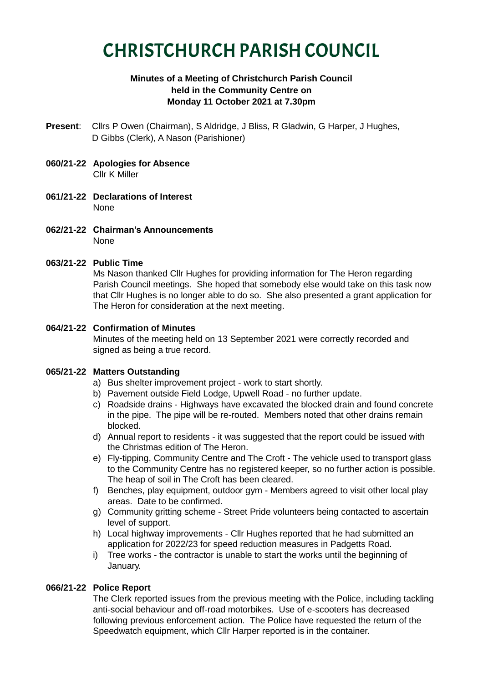# CHRISTCHURCH PARISH COUNCIL

# **Minutes of a Meeting of Christchurch Parish Council held in the Community Centre on Monday 11 October 2021 at 7.30pm**

- **Present**: Cllrs P Owen (Chairman), S Aldridge, J Bliss, R Gladwin, G Harper, J Hughes, D Gibbs (Clerk), A Nason (Parishioner)
- **060/21-22 Apologies for Absence** Cllr K Miller
- **061/21-22 Declarations of Interest** None
- **062/21-22 Chairman's Announcements** None

# **063/21-22 Public Time**

Ms Nason thanked Cllr Hughes for providing information for The Heron regarding Parish Council meetings. She hoped that somebody else would take on this task now that Cllr Hughes is no longer able to do so. She also presented a grant application for The Heron for consideration at the next meeting.

# **064/21-22 Confirmation of Minutes**

Minutes of the meeting held on 13 September 2021 were correctly recorded and signed as being a true record.

# **065/21-22 Matters Outstanding**

- a) Bus shelter improvement project work to start shortly.
- b) Pavement outside Field Lodge, Upwell Road no further update.
- c) Roadside drains Highways have excavated the blocked drain and found concrete in the pipe. The pipe will be re-routed. Members noted that other drains remain blocked.
- d) Annual report to residents it was suggested that the report could be issued with the Christmas edition of The Heron.
- e) Fly-tipping, Community Centre and The Croft The vehicle used to transport glass to the Community Centre has no registered keeper, so no further action is possible. The heap of soil in The Croft has been cleared.
- f) Benches, play equipment, outdoor gym Members agreed to visit other local play areas. Date to be confirmed.
- g) Community gritting scheme Street Pride volunteers being contacted to ascertain level of support.
- h) Local highway improvements Cllr Hughes reported that he had submitted an application for 2022/23 for speed reduction measures in Padgetts Road.
- i) Tree works the contractor is unable to start the works until the beginning of January.

# **066/21-22 Police Report**

The Clerk reported issues from the previous meeting with the Police, including tackling anti-social behaviour and off-road motorbikes. Use of e-scooters has decreased following previous enforcement action. The Police have requested the return of the Speedwatch equipment, which Cllr Harper reported is in the container.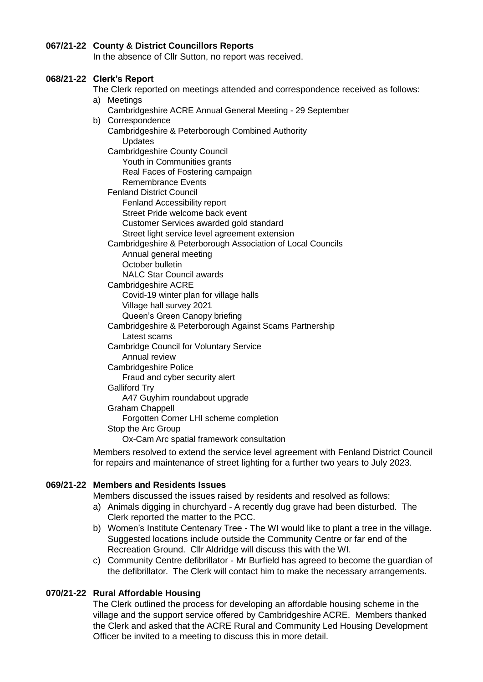#### **067/21-22 County & District Councillors Reports**

In the absence of Cllr Sutton, no report was received.

#### **068/21-22 Clerk's Report**

The Clerk reported on meetings attended and correspondence received as follows: a) Meetings

- Cambridgeshire ACRE Annual General Meeting 29 September
- b) Correspondence
	- Cambridgeshire & Peterborough Combined Authority Updates

Cambridgeshire County Council

Youth in Communities grants

Real Faces of Fostering campaign

Remembrance Events

Fenland District Council

- Fenland Accessibility report Street Pride welcome back event
- Customer Services awarded gold standard
- Street light service level agreement extension

Cambridgeshire & Peterborough Association of Local Councils

- Annual general meeting
- October bulletin

NALC Star Council awards

Cambridgeshire ACRE

Covid-19 winter plan for village halls Village hall survey 2021

- Queen's Green Canopy briefing
- Cambridgeshire & Peterborough Against Scams Partnership
	- Latest scams
- Cambridge Council for Voluntary Service
- Annual review
- Cambridgeshire Police

Fraud and cyber security alert

# Galliford Try

A47 Guyhirn roundabout upgrade

Graham Chappell

Forgotten Corner LHI scheme completion

Stop the Arc Group

Ox-Cam Arc spatial framework consultation

Members resolved to extend the service level agreement with Fenland District Council for repairs and maintenance of street lighting for a further two years to July 2023.

# **069/21-22 Members and Residents Issues**

Members discussed the issues raised by residents and resolved as follows:

- a) Animals digging in churchyard A recently dug grave had been disturbed. The Clerk reported the matter to the PCC.
- b) Women's Institute Centenary Tree The WI would like to plant a tree in the village. Suggested locations include outside the Community Centre or far end of the Recreation Ground. Cllr Aldridge will discuss this with the WI.
- c) Community Centre defibrillator Mr Burfield has agreed to become the guardian of the defibrillator. The Clerk will contact him to make the necessary arrangements.

# **070/21-22 Rural Affordable Housing**

The Clerk outlined the process for developing an affordable housing scheme in the village and the support service offered by Cambridgeshire ACRE. Members thanked the Clerk and asked that the ACRE Rural and Community Led Housing Development Officer be invited to a meeting to discuss this in more detail.